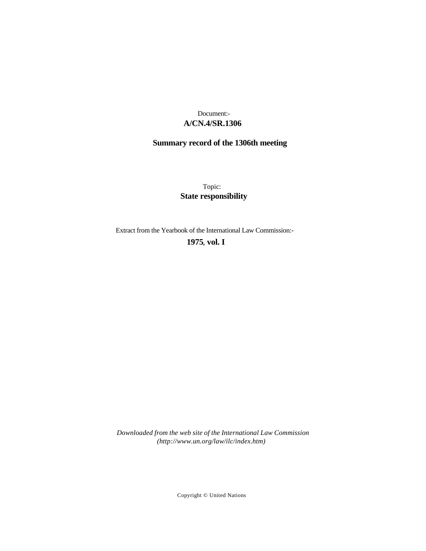# **A/CN.4/SR.1306** Document:-

# **Summary record of the 1306th meeting**

Topic: **State responsibility**

Extract from the Yearbook of the International Law Commission:-

# **1975** , **vol. I**

*Downloaded from the web site of the International Law Commission (http://www.un.org/law/ilc/index.htm)*

Copyright © United Nations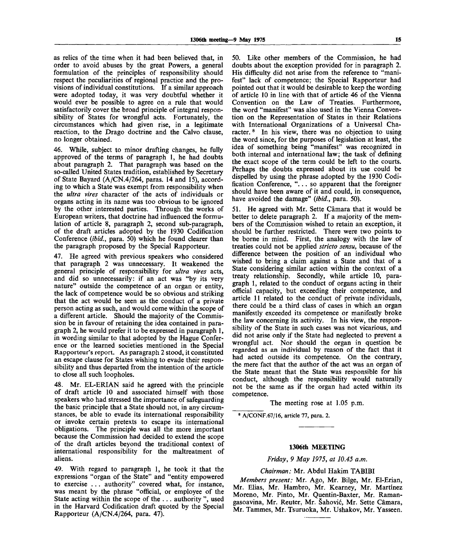as relics of the time when it had been believed that, in order to avoid abuses by the great Powers, a general formulation of the principles of responsibility should respect the peculiarities of regional practice and the provisions of individual constitutions. If a similar approach were adopted today, it was very doubtful whether it would ever be possible to agree on a rule that would satisfactorily cover the broad principle of integral responsibility of States for wrongful acts. Fortunately, the circumstances which had given rise, in a legitimate reaction, to the Drago doctrine and the Calvo clause, no longer obtained.

46. While, subject to minor drafting changes, he fully approved of the terms of paragraph 1, he had doubts about paragraph 2. That paragraph was based on the so-called United States tradition, established by Secretary of State Bayard (A/CN.4/264, paras. 14 and 15), according to which a State was exempt from responsibility when the *ultra vires* character of the acts of individuals or organs acting in its name was too obvious to be ignored by the other interested parties. Through the works of European writers, that doctrine had influenced the formulation of article 8, paragraph 2, second sub-paragraph, of the draft articles adopted by the 1930 Codification Conference *(ibid.,* para. 50) which he found clearer than the paragraph proposed by the Special Rapporteur.

47. He agreed with previous speakers who considered that paragraph 2 was unnecessary. It weakened the general principle of responsibility for *ultra vires* acts, and did so unnecessarily: if an act was "by its very nature" outside the competence of an organ or entity, the lack of competence would be so obvious and striking that the act would be seen as the conduct of a private person acting as such, and would come within the scope of a different article. Should the majority of the Commission be in favour of retaining the idea contained in paragraph 2, he would prefer it to be expressed in paragraph 1, in wording similar to that adopted by the Hague Conference or the learned societies mentioned in the Special Rapporteur's report. As paragraph 2 stood, it constituted an escape clause for States wishing to evade their responsibility and thus departed from the intention of the article to close all such loopholes.

48. Mr. EL-ERIAN said he agreed with the principle of draft article 10 and associated himself with those speakers who had stressed the importance of safeguarding the basic principle that a State should not, in any circumstances, be able to evade its international responsibility or invoke certain pretexts to escape its international obligations. The principle was all the more important because the Commission had decided to extend the scope of the draft articles beyond the traditional context of international responsibility for the maltreatment of aliens.

49. With regard to paragraph 1, he took it that the expressions "organ of the State" and "entity empowered to exercise . . . authority" covered what, for instance, was meant by the phrase "official, or employee of the State acting within the scope of the .. . authority ", used in the Harvard Codification draft quoted by the Special Rapporteur (A/CN.4/264, para. 47).

50. Like other members of the Commission, he had doubts about the exception provided for in paragraph 2. His difficulty did not arise from the reference to "manifest" lack of competence; the Special Rapporteur had pointed out that it would be desirable to keep the wording of article 10 in line with that of article 46 of the Vienna Convention on the Law of Treaties. Furthermore, the word "manifest" was also used in the Vienna Convention on the Representation of States in their Relations with International Organizations of a Universal Character.<sup>8</sup> In his view, there was no objection to using the word since, for the purposes of legislation at least, the idea of something being "manifest" was recognized in both internal and international law; the task of defining the exact scope of the term could be left to the courts. Perhaps the doubts expressed about its use could be dispelled by using the phrase adopted by the 1930 Codification Conference, "... so apparent that the foreigner should have been aware of it and could, in consequence, have avoided the damage" *(ibid.,* para. 50).

51. He agreed with Mr. Sette Camara that it would be better to delete paragraph 2. If a majority of the members of the Commission wished to retain an exception, it should be further restricted. There were two points to be borne in mind. First, the analogy with the law of treaties could not be applied *stricto sensu,* because of the difference between the position of an individual who wished to bring a claim against a State and that of a State considering similar action within the context of a treaty relationship. Secondly, while article 10, paragraph 1, related to the conduct of organs acting in their official capacity, but exceeding their competence, and article 11 related to the conduct of private individuals, there could be a third class of cases in which an organ manifestly exceeded its competence or manifestly broke the law concerning its activity. In his view, the responsibility of the State in such cases was not vicarious, and did not arise only if the State had neglected to prevent a wrongful act. Nor should the organ in question be regarded as an individual by reason of the fact that it had acted outside its competence. On the contrary, the mere fact that the author of the act was an organ of the State meant that the State was responsible for his conduct, although the responsibility would naturally not be the same as if the organ had acted within its competence.

The meeting rose at 1.05 p.m.

8 A/CONF.67/16, article 77, para. 2.

#### **1306th MEETING**

*Friday, 9 May 1975, at 10.45 a.m.*

#### *Chairman:* Mr. Abdul Hakim TABIBI

*Members present:* Mr. Ago, Mr. Bilge, Mr. El-Erian, Mr. Elias, Mr. Hambro, Mr. Kearney, Mr. Martinez Moreno, Mr. Pinto, Mr. Quentin-Baxter, Mr. Ramangasoavina, Mr. Reuter, Mr. Sahovic, Mr. Sette Camara, Mr. Tammes, Mr. Tsuruoka, Mr. Ushakov, Mr. Yasseen.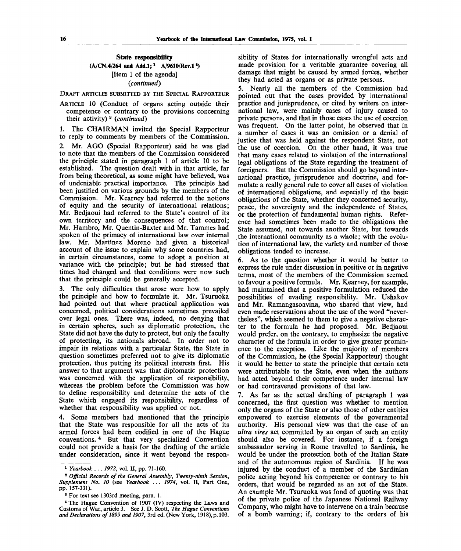## State responsibility (A/CN.4/264 and Add.1;<sup>1</sup> A/9610/Rev.1<sup>2</sup>) [Item 1 of the agenda] *(continued)*

DRAFT ARTICLES SUBMITTED BY THE SPECIAL RAPPORTEUR

ARTICLE 10 (Conduct of organs acting outside their competence or contrary to the provisions concerning their activity) <sup>3</sup> *(continued)*

1. The CHAIRMAN invited the Special Rapporteur to reply to comments by members of the Commission.

2. Mr. AGO (Special Rapporteur) said he was glad to note that the members of the Commission considered the principle stated in paragraph 1 of article 10 to be established. The question dealt with in that article, far from being theoretical, as some might have believed, was of undeniable practical importance. The principle had been justified on various grounds by the members of the Commission. Mr. Kearney had referred to the notions of equity and the security of international relations; Mr. Bedjaoui had referred to the State's control of its own territory and the consequences of that control; Mr. Hambro, Mr. Quentin-Baxter and Mr. Tammes had spoken of the primacy of international law over internal law. Mr. Martinez Moreno had given a historical account of the issue to explain why some countries had, in certain circumstances, come to adopt a position at variance with the principle; but he had stressed that times had changed and that conditions were now such that the principle could be generally accepted.

3. The only difficulties that arose were how to apply the principle and how to formulate it. Mr. Tsuruoka had pointed out that where practical application was concerned, political considerations sometimes prevailed over legal ones. There was, indeed, no denying that in certain spheres, such as diplomatic protection, the State did not have the duty to protect, but only the faculty of protecting, its nationals abroad. In order not to impair its relations with a particular State, the State in question sometimes preferred not to give its diplomatic protection, thus putting its political interests first. His answer to that argument was that diplomatic protection was concerned with the application of responsibility, whereas the problem before the Commission was how to define responsibility and determine the acts of the State which engaged its responsibility, regardless of whether that responsibility was applied or not.

4. Some members had mentioned that the principle that the State was responsible for all the acts of its armed forces had been codified in one of the Hague conventions.<sup>4</sup> But that very specialized Convention could not provide a basis for the drafting of the article under consideration, since it went beyond the responsibility of States for internationally wrongful acts and made provision for a veritable guarantee covering all damage that might be caused by armed forces, whether they had acted as organs or as private persons.

5. Nearly all the members of the Commission had pointed out that the cases provided by international practice and jurisprudence, or cited by writers on international law, were mainly cases of injury caused to private persons, and that in those cases the use of coercion was frequent. On the latter point, he observed that in a number of cases it was an omission or a denial of justice that was held against the respondent State, not the use of coercion. On the other hand, it was true that many cases related to violation of the international legal obligations of the State regarding the treatment of foreigners. But the Commission should go beyond international practice, jurisprudence and doctrine, and formulate a really general rule to cover all cases of violation of international obligations, and especially of the basic obligations of the State, whether they concerned security, peace, the sovereignty and the independence of States, or the protection of fundamental human rights. Reference had sometimes been made to the obligations the State assumed, not towards another State, but towards the international community as a whole; with the evolution of international law, the variety and number of those obligations tended to increase.

6. As to the question whether it would be better to express the rule under discussion in positive or in negative terms, most of the members of the Commission seemed to favour a positive formula. Mr. Kearney, for example, had maintained that a positive formulation reduced the possibilities of evading responsibility. Mr. Ushakov and Mr. Ramangasoavina, who shared that view, had even made reservations about the use of the word "nevertheless", which seemed to them to give a negative character to the formula he had proposed. Mr. Bedjaoui would prefer, on the contrary, to emphasize the negative character of the formula in order to give greater prominence to the exception. Like the majority of members of the Commission, he (the Special Rapporteur) thought it would be better to state the principle that certain acts were attributable to the State, even when the authors had acted beyond their competence under internal law or had contravened provisions of that law.

7. As far as the actual drafting of paragraph 1 was concerned, the first question was whether to mention only the organs of the State or also those of other entities empowered to exercise elements of the governmental authority. His personal view was that the case of an *ultra vires* act committed by an organ of such an entity should also be covered. For instance, if a foreign ambassador serving in Rome travelled to Sardinia, he would be under the protection both of the Italian State and of the autonomous region of Sardinia. If he was injured by the conduct of a member of the Sardinian police acting beyond his competence or contrary to his orders, that would be regarded as an act of the State. An example Mr. Tsuruoka was fond of quoting was that of the private police of the Japanese National Railway Company, who might have to intervene on a train because of a bomb warning; if, contrary to the orders of his

<sup>1</sup>  *Yearbook* .. . *1972,* vol. II, pp. 71-160.

<sup>2</sup>  *Official Records of the General Assembly, Twenty-ninth Session, Supplement No. 10* (see *Yearbook .. . 1974,* vol. II, Part One, pp. 157-331).

<sup>&</sup>lt;sup>8</sup> For text see 1303rd meeting, para. 1.

<sup>\*</sup> The Hague Convention of 1907 (IV) respecting the Laws and Customs of War, article 3. See J. D. Scott, *The Hague Conventions and Declarations of 1899 and 1907,* 3rd ed. (New York, 1918), p. 103.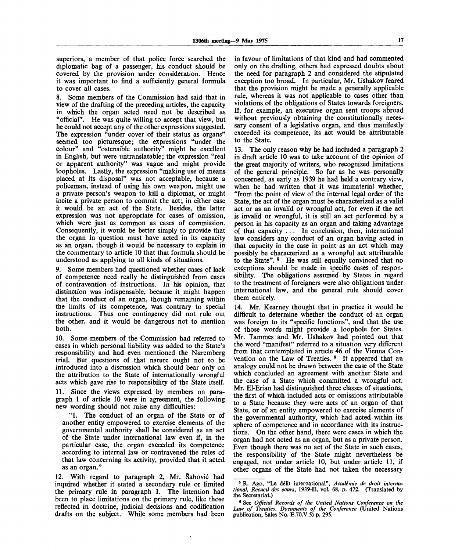superiors, a member of that police force searched the diplomatic bag of a passenger, his conduct should be covered by the provision under consideration. Hence it was important to find a sufficiently general formula to cover all cases.

8. Some members of the Commission had said that in view of the drafting of the preceding articles, the capacity in which the organ acted need not be described as "official". He was quite willing to accept that view, but he could not accept any of the other expressions suggested. The expression "under cover of their status as organs" seemed too picturesque; the expressions "under the colour" and "ostensible authority" might be excellent in English, but were untranslatable; the expression "real or apparent authority" was vague and might provide loopholes. Lastly, the expression "making use of means placed at its disposal" was not acceptable, because a policeman, instead of using his own weapon, might use a private person's weapon to kill a diplomat, or might incite a private person to commit the act; in either case it would be an act of the State. Besides, the latter expression was not appropriate for cases of omission, which were just as common as cases of commission. Consequently, it would be better simply to provide that the organ in question must have acted in its capacity as an organ, though it would be necessary to explain in the commentary to article 10 that that formula should be understood as applying to all kinds of situations.

9. Some members had questioned whether cases of lack of competence need really be distinguished from cases of contravention of instructions. In his opinion, that distinction was indispensable, because it might happen that the conduct of an organ, though remaining within the limits of its competence, was contrary to special instructions. Thus one contingency did not rule out the other, and it would be dangerous not to mention both.

10. Some members of the Commission had referred to cases in which personal liability was added to the State's responsibility and had even mentioned the Nuremberg trial. But questions of that nature ought not to be introduced into a discussion which should bear only on the attribution to the State of internationally wrongful acts which gave rise to responsibility of the State itself.

11. Since the views expressed by members on paragraph 1 of article 10 were in agreement, the following new wording should not raise any difficulties:

"1. The conduct of an organ of the State or of another entity empowered to exercise elements of the governmental authority shall be considered as an act of the State under international law even if, in the particular case, the organ exceeded its competence according to internal law or contravened the rules of that law concerning its activity, provided that it acted as an organ."

12. With regard to paragraph 2, Mr. Sahovic had inquired whether it stated a secondary rule or limited the primary rule in paragraph 1. The intention had been to place limitations on the primary rule, like those reflected in doctrine, judicial decisions and codification drafts on the subject. While some members had been in favour of limitations of that kind and had commented only on the drafting, others had expressed doubts about the need for paragraph 2 and considered the stipulated exception too broad. In particular, Mr. Ushakov feared that the provision might be made a generally applicable rule, whereas it was not applicable to cases other than violations of the obligations of States towards foreigners. If, for example, an executive organ sent troops abroad without previously obtaining the constitutionally necessary consent of a legislative organ, and thus manifestly exceeded its competence, its act would be attributable to the State.

13. The only reason why he had included a paragraph 2 in draft article 10 was to take account of the opinion of the great majority of writers, who recognized limitations of the general principle. So far as he was personally concerned, as early as 1939 he had held a contrary view, when he had written that it was immaterial whether, "from the point of view of the internal legal order of the State, the act of the organ must be characterized as a valid act or as an invalid or wrongful act, for even if the act is invalid or wrongful, it is still an act performed by a person in his capacity as an organ and taking advantage of that capacity .. . In conclusion, then, international law considers any conduct of an organ having acted in that capacity in the case in point as an act which may possibly be characterized as a wrongful act attributable to the State".<sup>5</sup> He was still equally convinced that no exceptions should be made in specific cases of responsibility. The obligations assumed by States in regard to the treatment of foreigners were also obligations under international law, and the general rule should cover them entirely.

14. Mr. Kearney thought that in practice it would be difficult to determine whether the conduct of an organ was foreign to its "specific functions", and that the use of those words might provide a loophole for States. Mr. Tammes and Mr. Ushakov had pointed out that the word "manifest" referred to a situation very different from that contemplated in article 46 of the Vienna Convention on the Law of Treaties.<sup>6</sup> It appeared that an analogy could not be drawn between the case of the State which concluded an agreement with another State and the case of a State which committed a wrongful act. Mr. El-Erian had distinguished three classes of situations, the first of which included acts or omissions attributable to a State because they were acts of an organ of that State, or of an entity empowered to exercise elements of the governmental authority, which had acted within its sphere of competence and in accordance with its instructions. On the other hand, there were cases in which the organ had not acted as an organ, but as a private person. Even though there was no act of the State in such cases, the responsibility of the State might nevertheless be engaged, not under article 10, but under article 11, if other organs of the State had not taken the necessary

<sup>8</sup>  **R.** Ago, "Le delit international", *Academie de droit international, Recueil des cours,* 1939-11, vol. 68, p. 472. (Translated by the Secretariat.)

<sup>6</sup> See *Official Records of the United Nations Conference on the Law of Treaties, Documents of the Conference* (United Nations publication, Sales No. E.70.V.5) p. 295.